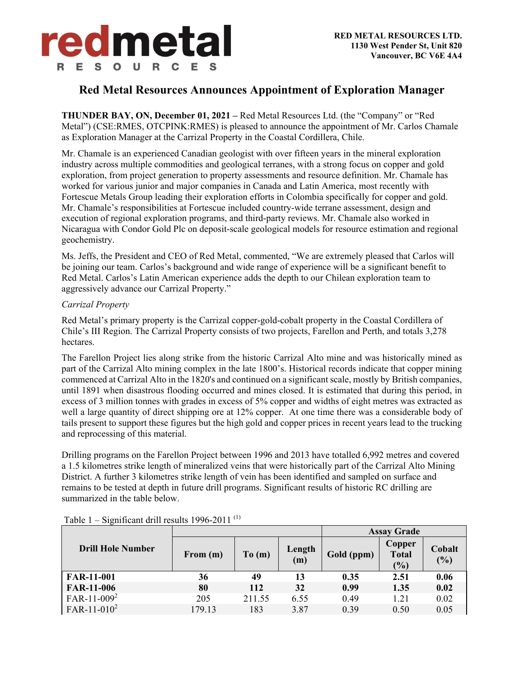## **Red Metal Resources Announces Appointment of Exploration Manager**

**THUNDER BAY, ON, December 01, 2021 –** Red Metal Resources Ltd. (the "Company" or "Red Metal") (CSE:RMES, OTCPINK:RMES) is pleased to announce the appointment of Mr. Carlos Chamale as Exploration Manager at the Carrizal Property in the Coastal Cordillera, Chile.

Mr. Chamale is an experienced Canadian geologist with over fifteen years in the mineral exploration industry across multiple commodities and geological terranes, with a strong focus on copper and gold exploration, from project generation to property assessments and resource definition. Mr. Chamale has worked for various junior and major companies in Canada and Latin America, most recently with Fortescue Metals Group leading their exploration efforts in Colombia specifically for copper and gold. Mr. Chamale's responsibilities at Fortescue included country-wide terrane assessment, design and execution of regional exploration programs, and third-party reviews. Mr. Chamale also worked in Nicaragua with Condor Gold Plc on deposit-scale geological models for resource estimation and regional geochemistry.

Ms. Jeffs, the President and CEO of Red Metal, commented, "We are extremely pleased that Carlos will be joining our team. Carlos's background and wide range of experience will be a significant benefit to Red Metal. Carlos's Latin American experience adds the depth to our Chilean exploration team to aggressively advance our Carrizal Property."

#### *Carrizal Property*

Red Metal's primary property is the Carrizal copper-gold-cobalt property in the Coastal Cordillera of Chile's III Region. The Carrizal Property consists of two projects, Farellon and Perth, and totals 3,278 hectares.

The Farellon Project lies along strike from the historic Carrizal Alto mine and was historically mined as part of the Carrizal Alto mining complex in the late 1800's. Historical records indicate that copper mining commenced at Carrizal Alto in the 1820's and continued on a significant scale, mostly by British companies, until 1891 when disastrous flooding occurred and mines closed. It is estimated that during this period, in excess of 3 million tonnes with grades in excess of 5% copper and widths of eight metres was extracted as well a large quantity of direct shipping ore at 12% copper. At one time there was a considerable body of tails present to support these figures but the high gold and copper prices in recent years lead to the trucking and reprocessing of this material.

Drilling programs on the Farellon Project between 1996 and 2013 have totalled 6,992 metres and covered a 1.5 kilometres strike length of mineralized veins that were historically part of the Carrizal Alto Mining District. A further 3 kilometres strike length of vein has been identified and sampled on surface and remains to be tested at depth in future drill programs. Significant results of historic RC drilling are summarized in the table below.

|                          |            |        |               | <b>Assay Grade</b> |                               |               |
|--------------------------|------------|--------|---------------|--------------------|-------------------------------|---------------|
| <b>Drill Hole Number</b> | From $(m)$ | To(m)  | Length<br>(m) | Gold (ppm)         | Copper<br><b>Total</b><br>(%) | Cobalt<br>(%) |
| <b>FAR-11-001</b>        | 36         | 49     | 13            | 0.35               | 2.51                          | 0.06          |
| <b>FAR-11-006</b>        | 80         | 112    | 32            | 0.99               | 1.35                          | 0.02          |
| $FAR-11-009^2$           | 205        | 211.55 | 6.55          | 0.49               | 1.21                          | 0.02          |
| $FAR-11-010^2$           | 179.13     | 183    | 3.87          | 0.39               | 0.50                          | 0.05          |

Table 1 – Significant drill results 1996-2011 $^{(1)}$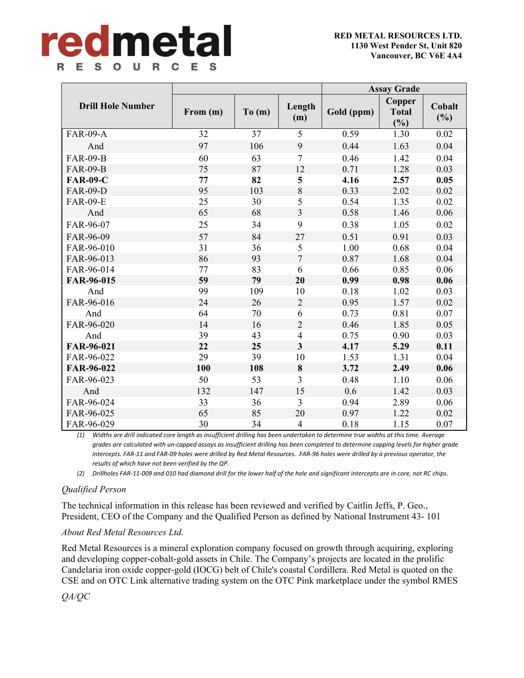# redmetal R E S O U R C E S

|                          |          |       |                         | <b>Assay Grade</b> |                               |                  |
|--------------------------|----------|-------|-------------------------|--------------------|-------------------------------|------------------|
| <b>Drill Hole Number</b> | From (m) | To(m) | Length<br>(m)           | Gold (ppm)         | Copper<br><b>Total</b><br>(%) | Cobalt<br>$(\%)$ |
| <b>FAR-09-A</b>          | 32       | 37    | 5                       | 0.59               | 1.30                          | 0.02             |
| And                      | 97       | 106   | 9                       | 0.44               | 1.63                          | 0.04             |
| <b>FAR-09-B</b>          | 60       | 63    | $\overline{7}$          | 0.46               | 1.42                          | 0.04             |
| <b>FAR-09-B</b>          | 75       | 87    | 12                      | 0.71               | 1.28                          | 0.03             |
| <b>FAR-09-C</b>          | 77       | 82    | $\overline{\mathbf{5}}$ | 4.16               | 2.57                          | 0.05             |
| <b>FAR-09-D</b>          | 95       | 103   | $8\,$                   | 0.33               | 2.02                          | 0.02             |
| <b>FAR-09-E</b>          | 25       | 30    | 5                       | 0.54               | 1.35                          | 0.02             |
| And                      | 65       | 68    | 3                       | 0.58               | 1.46                          | 0.06             |
| FAR-96-07                | 25       | 34    | 9                       | 0.38               | 1.05                          | 0.02             |
| FAR-96-09                | 57       | 84    | 27                      | 0.51               | 0.91                          | 0.03             |
| FAR-96-010               | 31       | 36    | 5                       | 1.00               | 0.68                          | 0.04             |
| FAR-96-013               | 86       | 93    | $\overline{7}$          | 0.87               | 1.68                          | 0.04             |
| FAR-96-014               | 77       | 83    | 6                       | 0.66               | 0.85                          | 0.06             |
| FAR-96-015               | 59       | 79    | 20                      | 0.99               | 0.98                          | 0.06             |
| And                      | 99       | 109   | 10                      | 0.18               | 1.02                          | 0.03             |
| FAR-96-016               | 24       | 26    | $\overline{2}$          | 0.95               | 1.57                          | 0.02             |
| And                      | 64       | 70    | 6                       | 0.73               | 0.81                          | 0.07             |
| FAR-96-020               | 14       | 16    | $\overline{2}$          | 0.46               | 1.85                          | 0.05             |
| And                      | 39       | 43    | $\overline{4}$          | 0.75               | 0.90                          | 0.03             |
| FAR-96-021               | 22       | 25    | $\overline{\mathbf{3}}$ | 4.17               | 5.29                          | 0.11             |
| FAR-96-022               | 29       | 39    | 10                      | 1.53               | 1.31                          | 0.04             |
| FAR-96-022               | 100      | 108   | $\bf{8}$                | 3.72               | 2.49                          | 0.06             |
| FAR-96-023               | 50       | 53    | 3                       | 0.48               | 1.10                          | 0.06             |
| And                      | 132      | 147   | 15                      | 0.6                | 1.42                          | 0.03             |
| FAR-96-024               | 33       | 36    | $\overline{3}$          | 0.94               | 2.89                          | 0.06             |
| FAR-96-025               | 65       | 85    | 20                      | 0.97               | 1.22                          | 0.02             |
| FAR-96-029               | 30       | 34    | $\overline{4}$          | 0.18               | 1.15                          | 0.07             |

(1) Widths are drill indicated core length as insufficient drilling has been undertaken to determine true widths at this time. Average grades are calculated with un-capped assays as insufficient drilling has been completed to determine capping levels for higher grade intercepts. FAR-11 and FAR-09 holes were drilled by Red Metal Resources. FAR-96 holes were drilled by a previous operator, the *results of which have not been verified by the QP.*

(2) Drillholes FAR-11-009 and 010 had diamond drill for the lower half of the hole and significant intercepts are in core, not RC chips.

### *Qualified Person*

The technical information in this release has been reviewed and verified by Caitlin Jeffs, P. Geo., President, CEO of the Company and the Qualified Person as defined by National Instrument 43- 101

### *About Red Metal Resources Ltd.*

Red Metal Resources is a mineral exploration company focused on growth through acquiring, exploring and developing copper-cobalt-gold assets in Chile. The Company's projects are located in the prolific Candelaria iron oxide copper-gold (IOCG) belt of Chile's coastal Cordillera. Red Metal is quoted on the CSE and on OTC Link alternative trading system on the OTC Pink marketplace under the symbol RMES

*QA/QC*